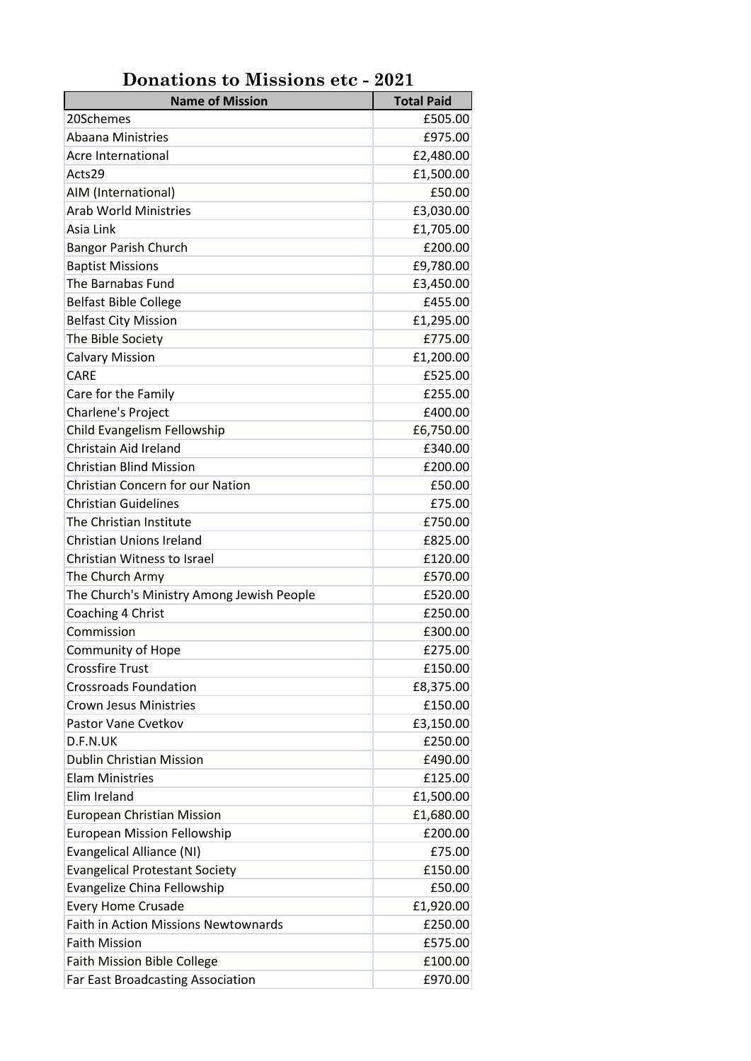| onations to missions the                    |                   |
|---------------------------------------------|-------------------|
| <b>Name of Mission</b>                      | <b>Total Paid</b> |
| 20Schemes                                   | £505.00           |
| <b>Abaana Ministries</b>                    | £975.00           |
| <b>Acre International</b>                   | £2,480.00         |
| Acts29                                      | £1,500.00         |
| AIM (International)                         | £50.00            |
| <b>Arab World Ministries</b>                | £3,030.00         |
| Asia Link                                   | £1,705.00         |
| <b>Bangor Parish Church</b>                 | £200.00           |
| <b>Baptist Missions</b>                     | £9,780.00         |
| The Barnabas Fund                           | £3,450.00         |
| <b>Belfast Bible College</b>                | £455.00           |
| <b>Belfast City Mission</b>                 | £1,295.00         |
| The Bible Society                           | £775.00           |
| <b>Calvary Mission</b>                      | £1,200.00         |
| CARE                                        | £525.00           |
| Care for the Family                         | £255.00           |
| Charlene's Project                          | £400.00           |
| Child Evangelism Fellowship                 | £6,750.00         |
| Christain Aid Ireland                       | £340.00           |
| <b>Christian Blind Mission</b>              | £200.00           |
| <b>Christian Concern for our Nation</b>     | £50.00            |
| <b>Christian Guidelines</b>                 | £75.00            |
| The Christian Institute                     | £750.00           |
| Christian Unions Ireland                    | £825.00           |
| Christian Witness to Israel                 | £120.00           |
| The Church Army                             | £570.00           |
| The Church's Ministry Among Jewish People   | £520.00           |
| Coaching 4 Christ                           | £250.00           |
| Commission                                  | £300.00           |
| Community of Hope                           | £275.00           |
| <b>Crossfire Trust</b>                      | £150.00           |
| <b>Crossroads Foundation</b>                | £8,375.00         |
| <b>Crown Jesus Ministries</b>               | £150.00           |
| Pastor Vane Cvetkov                         |                   |
|                                             | £3,150.00         |
| D.F.N.UK                                    | £250.00           |
| <b>Dublin Christian Mission</b>             | £490.00           |
| <b>Elam Ministries</b>                      | £125.00           |
| Elim Ireland                                | £1,500.00         |
| European Christian Mission                  | £1,680.00         |
| <b>European Mission Fellowship</b>          | £200.00           |
| Evangelical Alliance (NI)                   | £75.00            |
| <b>Evangelical Protestant Society</b>       | £150.00           |
| Evangelize China Fellowship                 | £50.00            |
| <b>Every Home Crusade</b>                   | £1,920.00         |
| <b>Faith in Action Missions Newtownards</b> | £250.00           |
| <b>Faith Mission</b>                        | £575.00           |
| <b>Faith Mission Bible College</b>          | £100.00           |
| Far East Broadcasting Association           | £970.00           |

**Donations to Missions etc - 2021**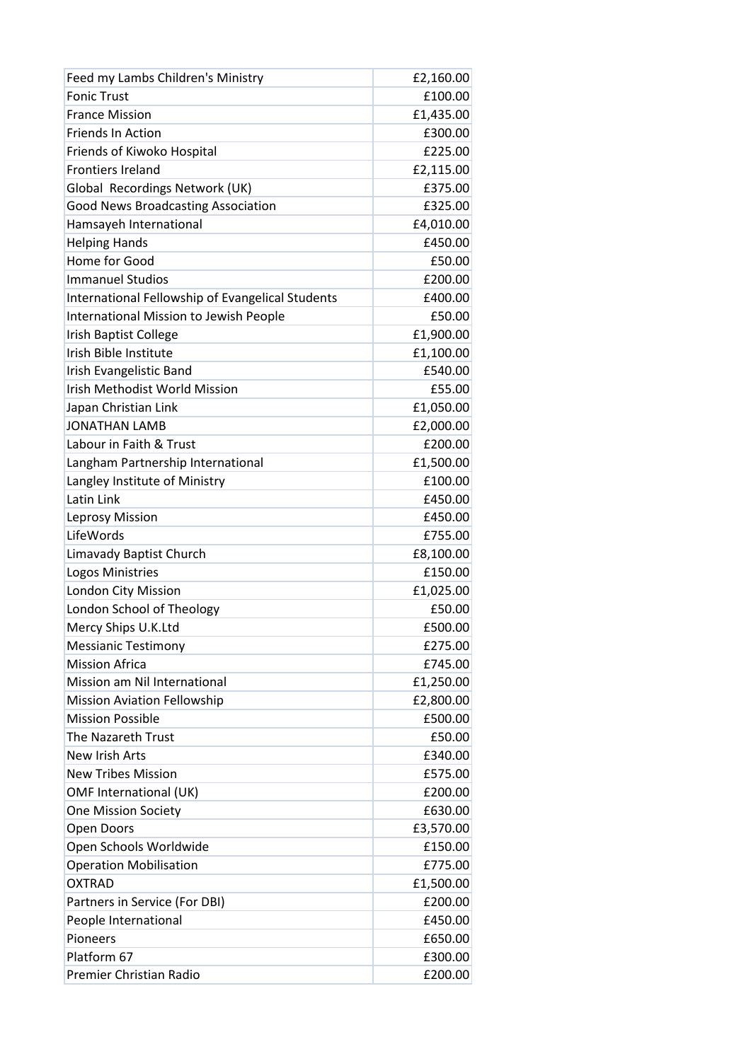| Feed my Lambs Children's Ministry                | £2,160.00 |
|--------------------------------------------------|-----------|
| <b>Fonic Trust</b>                               | £100.00   |
| <b>France Mission</b>                            | £1,435.00 |
| <b>Friends In Action</b>                         | £300.00   |
| Friends of Kiwoko Hospital                       | £225.00   |
| <b>Frontiers Ireland</b>                         | £2,115.00 |
| Global Recordings Network (UK)                   | £375.00   |
| <b>Good News Broadcasting Association</b>        | £325.00   |
| Hamsayeh International                           | £4,010.00 |
| <b>Helping Hands</b>                             | £450.00   |
| Home for Good                                    | £50.00    |
| <b>Immanuel Studios</b>                          | £200.00   |
| International Fellowship of Evangelical Students | £400.00   |
| International Mission to Jewish People           | £50.00    |
| Irish Baptist College                            | £1,900.00 |
| Irish Bible Institute                            | £1,100.00 |
| Irish Evangelistic Band                          | £540.00   |
| Irish Methodist World Mission                    | £55.00    |
| Japan Christian Link                             | £1,050.00 |
| <b>JONATHAN LAMB</b>                             | £2,000.00 |
| Labour in Faith & Trust                          | £200.00   |
| Langham Partnership International                | £1,500.00 |
| Langley Institute of Ministry                    | £100.00   |
| Latin Link                                       | £450.00   |
| Leprosy Mission                                  | £450.00   |
| LifeWords                                        | £755.00   |
| Limavady Baptist Church                          | £8,100.00 |
| Logos Ministries                                 | £150.00   |
| London City Mission                              | £1,025.00 |
| London School of Theology                        | £50.00    |
| Mercy Ships U.K.Ltd                              | £500.00   |
| <b>Messianic Testimony</b>                       | £275.00   |
| <b>Mission Africa</b>                            | £745.00   |
| Mission am Nil International                     | £1,250.00 |
| <b>Mission Aviation Fellowship</b>               | £2,800.00 |
| <b>Mission Possible</b>                          | £500.00   |
| The Nazareth Trust                               | £50.00    |
| New Irish Arts                                   | £340.00   |
| <b>New Tribes Mission</b>                        | £575.00   |
| OMF International (UK)                           | £200.00   |
| <b>One Mission Society</b>                       | £630.00   |
| Open Doors                                       | £3,570.00 |
| Open Schools Worldwide                           | £150.00   |
| <b>Operation Mobilisation</b>                    | £775.00   |
| <b>OXTRAD</b>                                    | £1,500.00 |
| Partners in Service (For DBI)                    | £200.00   |
| People International                             | £450.00   |
| Pioneers                                         | £650.00   |
| Platform 67                                      | £300.00   |
| Premier Christian Radio                          | £200.00   |